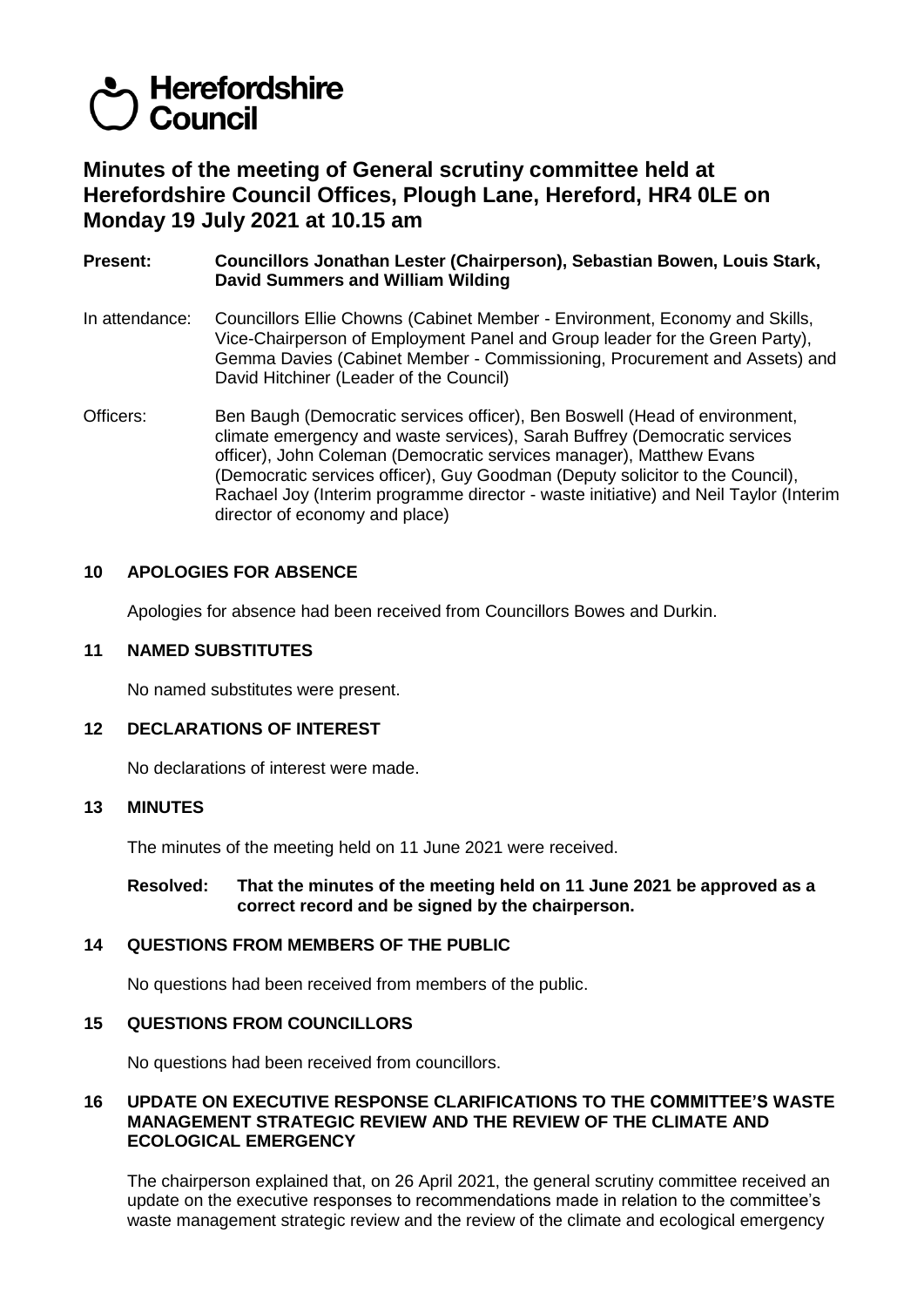# **Herefordshire Council**

# **Minutes of the meeting of General scrutiny committee held at Herefordshire Council Offices, Plough Lane, Hereford, HR4 0LE on Monday 19 July 2021 at 10.15 am**

**Present: Councillors Jonathan Lester (Chairperson), Sebastian Bowen, Louis Stark, David Summers and William Wilding**

- In attendance: Councillors Ellie Chowns (Cabinet Member Environment, Economy and Skills, Vice-Chairperson of Employment Panel and Group leader for the Green Party), Gemma Davies (Cabinet Member - Commissioning, Procurement and Assets) and David Hitchiner (Leader of the Council)
- Officers: Ben Baugh (Democratic services officer), Ben Boswell (Head of environment, climate emergency and waste services), Sarah Buffrey (Democratic services officer), John Coleman (Democratic services manager), Matthew Evans (Democratic services officer), Guy Goodman (Deputy solicitor to the Council), Rachael Joy (Interim programme director - waste initiative) and Neil Taylor (Interim director of economy and place)

## **10 APOLOGIES FOR ABSENCE**

Apologies for absence had been received from Councillors Bowes and Durkin.

#### **11 NAMED SUBSTITUTES**

No named substitutes were present.

## **12 DECLARATIONS OF INTEREST**

No declarations of interest were made.

#### **13 MINUTES**

The minutes of the meeting held on 11 June 2021 were received.

#### **Resolved: That the minutes of the meeting held on 11 June 2021 be approved as a correct record and be signed by the chairperson.**

#### **14 QUESTIONS FROM MEMBERS OF THE PUBLIC**

No questions had been received from members of the public.

#### **15 QUESTIONS FROM COUNCILLORS**

No questions had been received from councillors.

#### **16 UPDATE ON EXECUTIVE RESPONSE CLARIFICATIONS TO THE COMMITTEE'S WASTE MANAGEMENT STRATEGIC REVIEW AND THE REVIEW OF THE CLIMATE AND ECOLOGICAL EMERGENCY**

The chairperson explained that, on 26 April 2021, the general scrutiny committee received an update on the executive responses to recommendations made in relation to the committee's waste management strategic review and the review of the climate and ecological emergency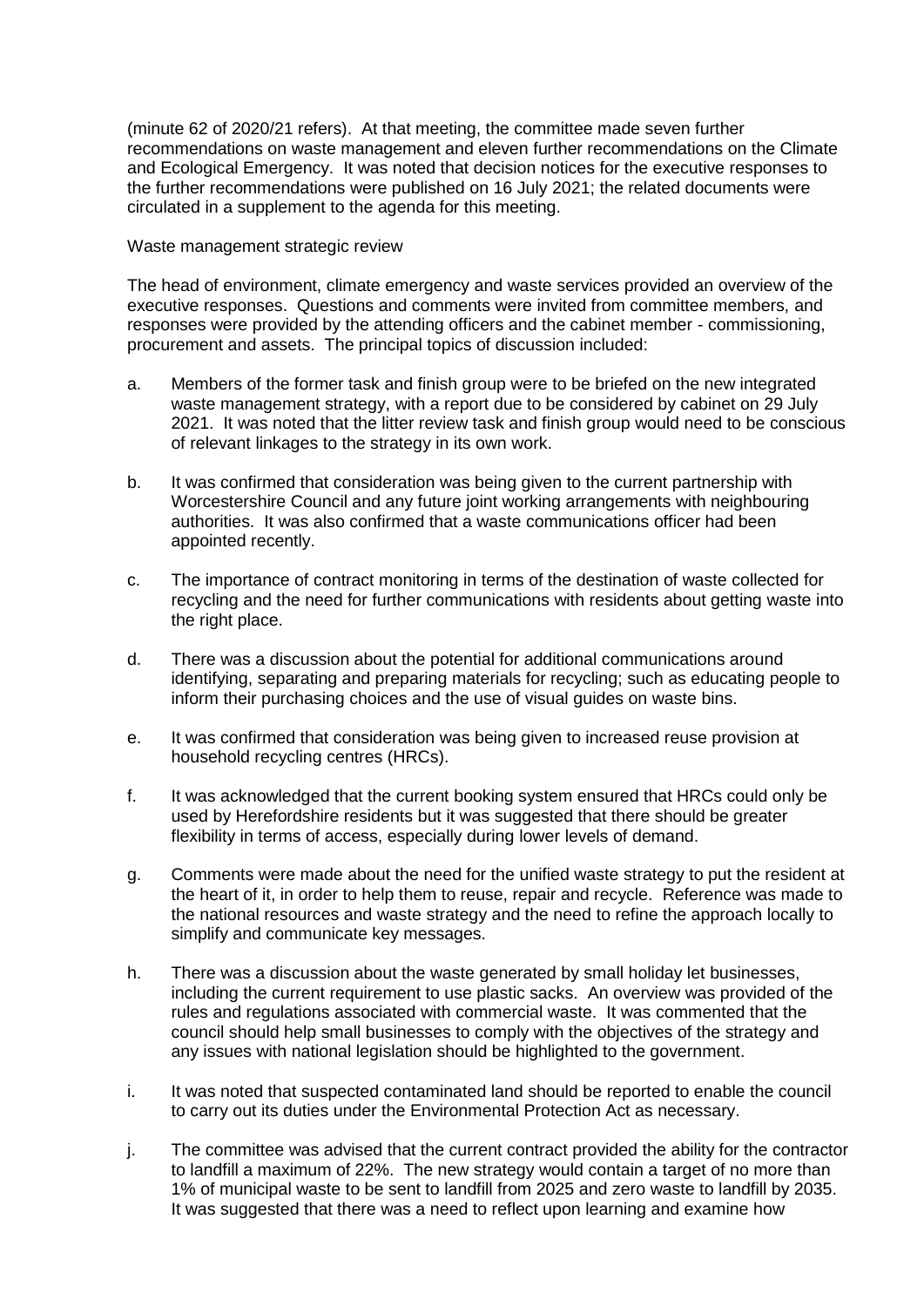(minute 62 of 2020/21 refers). At that meeting, the committee made seven further recommendations on waste management and eleven further recommendations on the Climate and Ecological Emergency. It was noted that decision notices for the executive responses to the further recommendations were published on 16 July 2021; the related documents were circulated in a supplement to the agenda for this meeting.

Waste management strategic review

The head of environment, climate emergency and waste services provided an overview of the executive responses. Questions and comments were invited from committee members, and responses were provided by the attending officers and the cabinet member - commissioning, procurement and assets. The principal topics of discussion included:

- a. Members of the former task and finish group were to be briefed on the new integrated waste management strategy, with a report due to be considered by cabinet on 29 July 2021. It was noted that the litter review task and finish group would need to be conscious of relevant linkages to the strategy in its own work.
- b. It was confirmed that consideration was being given to the current partnership with Worcestershire Council and any future joint working arrangements with neighbouring authorities. It was also confirmed that a waste communications officer had been appointed recently.
- c. The importance of contract monitoring in terms of the destination of waste collected for recycling and the need for further communications with residents about getting waste into the right place.
- d. There was a discussion about the potential for additional communications around identifying, separating and preparing materials for recycling; such as educating people to inform their purchasing choices and the use of visual guides on waste bins.
- e. It was confirmed that consideration was being given to increased reuse provision at household recycling centres (HRCs).
- f. It was acknowledged that the current booking system ensured that HRCs could only be used by Herefordshire residents but it was suggested that there should be greater flexibility in terms of access, especially during lower levels of demand.
- g. Comments were made about the need for the unified waste strategy to put the resident at the heart of it, in order to help them to reuse, repair and recycle. Reference was made to the national resources and waste strategy and the need to refine the approach locally to simplify and communicate key messages.
- h. There was a discussion about the waste generated by small holiday let businesses, including the current requirement to use plastic sacks. An overview was provided of the rules and regulations associated with commercial waste. It was commented that the council should help small businesses to comply with the objectives of the strategy and any issues with national legislation should be highlighted to the government.
- i. It was noted that suspected contaminated land should be reported to enable the council to carry out its duties under the Environmental Protection Act as necessary.
- j. The committee was advised that the current contract provided the ability for the contractor to landfill a maximum of 22%. The new strategy would contain a target of no more than 1% of municipal waste to be sent to landfill from 2025 and zero waste to landfill by 2035. It was suggested that there was a need to reflect upon learning and examine how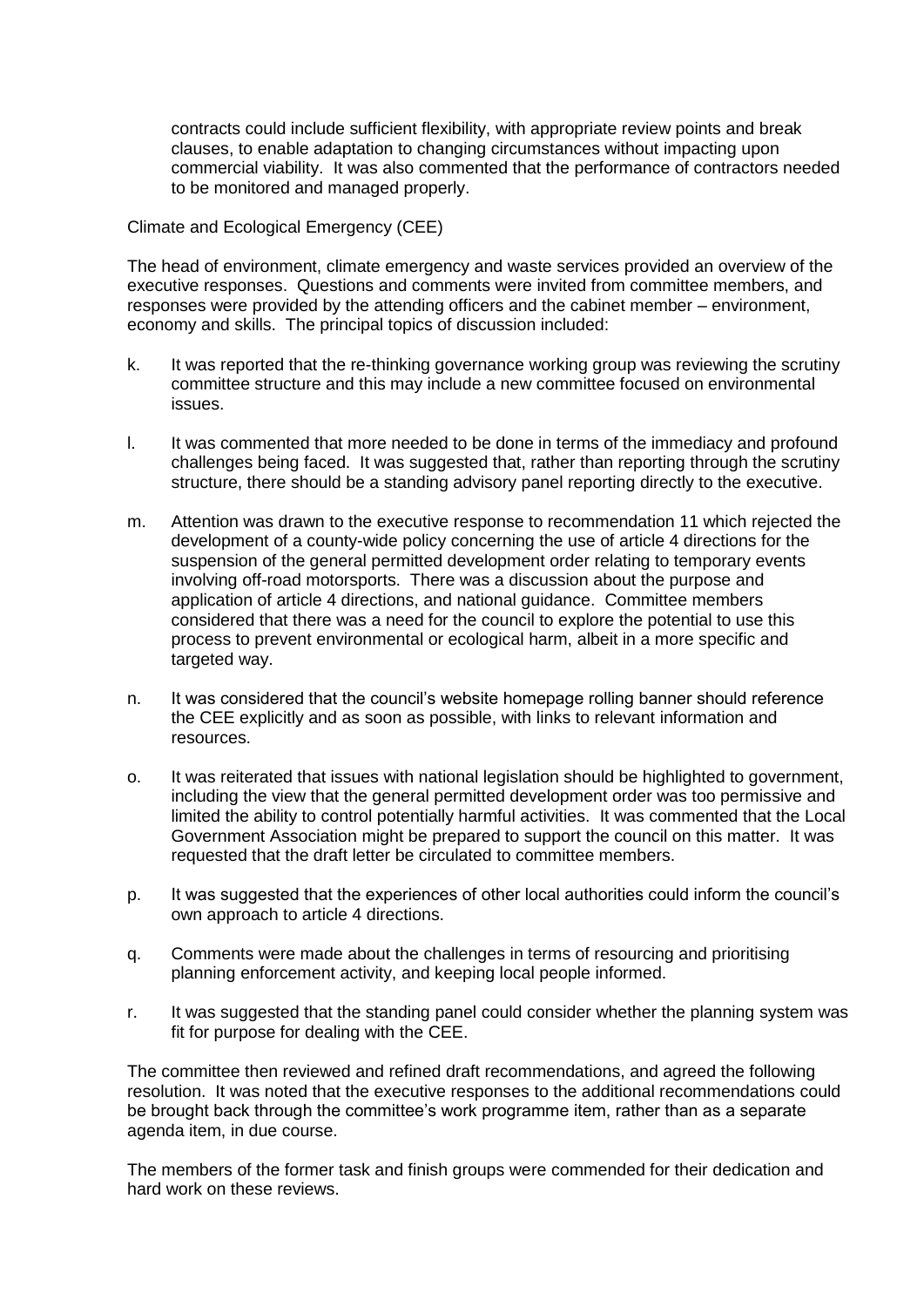contracts could include sufficient flexibility, with appropriate review points and break clauses, to enable adaptation to changing circumstances without impacting upon commercial viability. It was also commented that the performance of contractors needed to be monitored and managed properly.

Climate and Ecological Emergency (CEE)

The head of environment, climate emergency and waste services provided an overview of the executive responses. Questions and comments were invited from committee members, and responses were provided by the attending officers and the cabinet member – environment, economy and skills. The principal topics of discussion included:

- k. It was reported that the re-thinking governance working group was reviewing the scrutiny committee structure and this may include a new committee focused on environmental issues.
- l. It was commented that more needed to be done in terms of the immediacy and profound challenges being faced. It was suggested that, rather than reporting through the scrutiny structure, there should be a standing advisory panel reporting directly to the executive.
- m. Attention was drawn to the executive response to recommendation 11 which rejected the development of a county-wide policy concerning the use of article 4 directions for the suspension of the general permitted development order relating to temporary events involving off-road motorsports. There was a discussion about the purpose and application of article 4 directions, and national guidance. Committee members considered that there was a need for the council to explore the potential to use this process to prevent environmental or ecological harm, albeit in a more specific and targeted way.
- n. It was considered that the council's website homepage rolling banner should reference the CEE explicitly and as soon as possible, with links to relevant information and resources.
- o. It was reiterated that issues with national legislation should be highlighted to government, including the view that the general permitted development order was too permissive and limited the ability to control potentially harmful activities. It was commented that the Local Government Association might be prepared to support the council on this matter. It was requested that the draft letter be circulated to committee members.
- p. It was suggested that the experiences of other local authorities could inform the council's own approach to article 4 directions.
- q. Comments were made about the challenges in terms of resourcing and prioritising planning enforcement activity, and keeping local people informed.
- r. It was suggested that the standing panel could consider whether the planning system was fit for purpose for dealing with the CEE.

The committee then reviewed and refined draft recommendations, and agreed the following resolution. It was noted that the executive responses to the additional recommendations could be brought back through the committee's work programme item, rather than as a separate agenda item, in due course.

The members of the former task and finish groups were commended for their dedication and hard work on these reviews.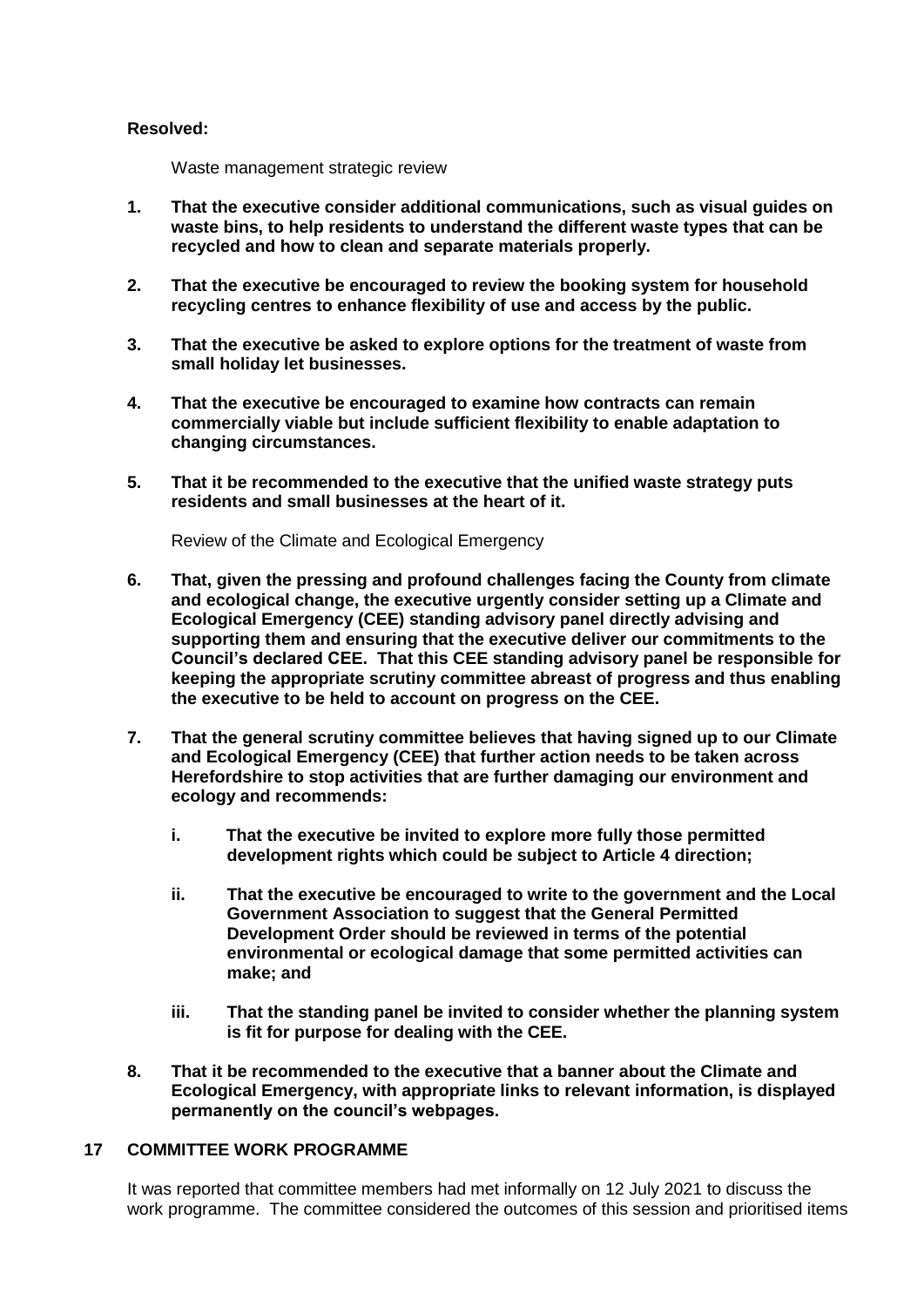#### **Resolved:**

Waste management strategic review

- **1. That the executive consider additional communications, such as visual guides on waste bins, to help residents to understand the different waste types that can be recycled and how to clean and separate materials properly.**
- **2. That the executive be encouraged to review the booking system for household recycling centres to enhance flexibility of use and access by the public.**
- **3. That the executive be asked to explore options for the treatment of waste from small holiday let businesses.**
- **4. That the executive be encouraged to examine how contracts can remain commercially viable but include sufficient flexibility to enable adaptation to changing circumstances.**
- **5. That it be recommended to the executive that the unified waste strategy puts residents and small businesses at the heart of it.**

Review of the Climate and Ecological Emergency

- **6. That, given the pressing and profound challenges facing the County from climate and ecological change, the executive urgently consider setting up a Climate and Ecological Emergency (CEE) standing advisory panel directly advising and supporting them and ensuring that the executive deliver our commitments to the Council's declared CEE. That this CEE standing advisory panel be responsible for keeping the appropriate scrutiny committee abreast of progress and thus enabling the executive to be held to account on progress on the CEE.**
- **7. That the general scrutiny committee believes that having signed up to our Climate and Ecological Emergency (CEE) that further action needs to be taken across Herefordshire to stop activities that are further damaging our environment and ecology and recommends:**
	- **i. That the executive be invited to explore more fully those permitted development rights which could be subject to Article 4 direction;**
	- **ii. That the executive be encouraged to write to the government and the Local Government Association to suggest that the General Permitted Development Order should be reviewed in terms of the potential environmental or ecological damage that some permitted activities can make; and**
	- **iii. That the standing panel be invited to consider whether the planning system is fit for purpose for dealing with the CEE.**
- **8. That it be recommended to the executive that a banner about the Climate and Ecological Emergency, with appropriate links to relevant information, is displayed permanently on the council's webpages.**

# **17 COMMITTEE WORK PROGRAMME**

It was reported that committee members had met informally on 12 July 2021 to discuss the work programme. The committee considered the outcomes of this session and prioritised items